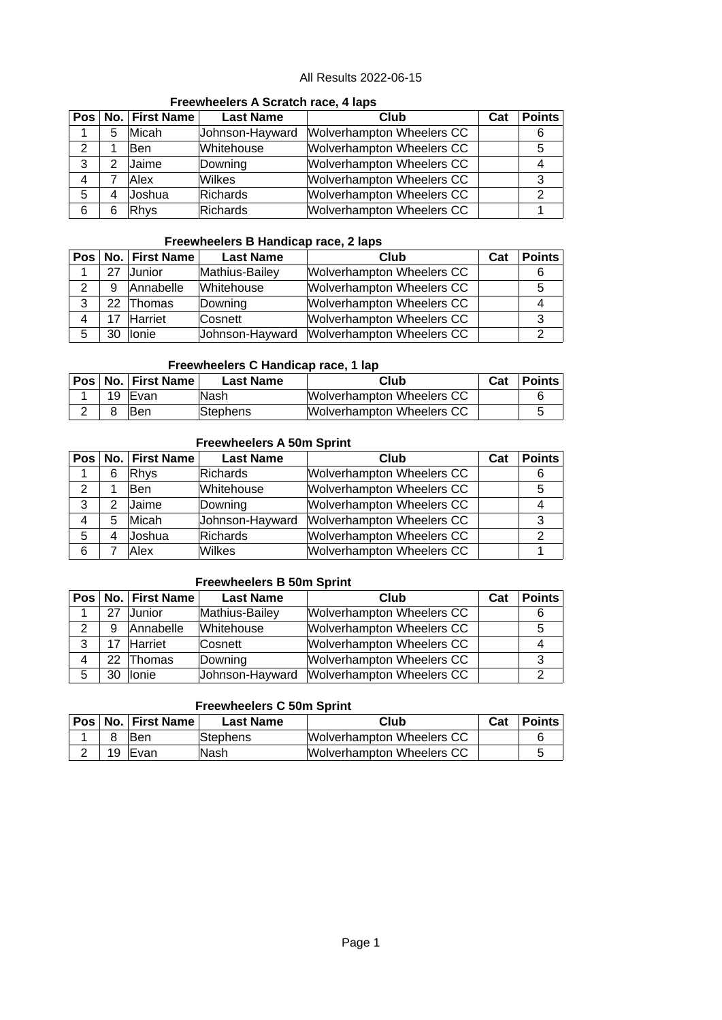# **Freewheelers A Scratch race, 4 laps**

|   |   | Pos   No.   First Name | <b>Last Name</b> | Club                             | Cat | <b>Points</b> |
|---|---|------------------------|------------------|----------------------------------|-----|---------------|
|   | 5 | <b>Micah</b>           | Johnson-Hayward  | Wolverhampton Wheelers CC        |     |               |
| 2 |   | lBen                   | Whitehouse       | Wolverhampton Wheelers CC        |     |               |
| 3 | 2 | Jaime                  | Downing          | Wolverhampton Wheelers CC        |     |               |
| 4 |   | Alex                   | <b>Wilkes</b>    | Wolverhampton Wheelers CC        |     | ົ             |
| 5 |   | Joshua                 | Richards         | <b>Wolverhampton Wheelers CC</b> |     |               |
| 6 |   | Rhys                   | Richards         | <b>Wolverhampton Wheelers CC</b> |     |               |

#### **Freewheelers B Handicap race, 2 laps**

|   |    | Pos   No.   First Name | <b>Last Name</b> | Club                      | Cat | <b>Points</b> |
|---|----|------------------------|------------------|---------------------------|-----|---------------|
|   | 27 | <b>Junior</b>          | Mathius-Bailey   | Wolverhampton Wheelers CC |     |               |
| 2 | 9  | Annabelle              | Whitehouse       | Wolverhampton Wheelers CC |     |               |
| 3 |    | 22 Thomas              | Downing          | Wolverhampton Wheelers CC |     |               |
| 4 |    | Harriet                | Cosnett          | Wolverhampton Wheelers CC |     |               |
| 5 | 30 | llonie                 | Johnson-Hayward  | Wolverhampton Wheelers CC |     |               |

# **Freewheelers C Handicap race, 1 lap**

|   | Pos   No.   First Name | <b>Last Name</b> | Club                      | Cat | <b>Points</b> |
|---|------------------------|------------------|---------------------------|-----|---------------|
| ᅩ | 19  Evan               | ∣Nash            | Wolverhampton Wheelers CC |     |               |
| ∠ | <b>Ben</b>             | <b>Stephens</b>  | Wolverhampton Wheelers CC |     |               |

#### **Freewheelers A 50m Sprint**

|   |   | Pos   No.   First Name | <b>Last Name</b> | Club                      | Cat | <b>Points</b> |
|---|---|------------------------|------------------|---------------------------|-----|---------------|
|   | 6 | Rhys                   | Richards         | Wolverhampton Wheelers CC |     |               |
| 2 |   | Ben                    | Whitehouse       | Wolverhampton Wheelers CC |     | 5             |
| 3 |   | Jaime                  | Downing          | Wolverhampton Wheelers CC |     |               |
| 4 | 5 | Micah                  | Johnson-Hayward  | Wolverhampton Wheelers CC |     |               |
| 5 | 4 | Joshua                 | Richards         | Wolverhampton Wheelers CC |     |               |
| 6 |   | Alex                   | Wilkes           | Wolverhampton Wheelers CC |     |               |

#### **Freewheelers B 50m Sprint**

|   |                 | Pos   No.   First Name | <b>Last Name</b> | Club                             | Cat | <b>Points</b> |
|---|-----------------|------------------------|------------------|----------------------------------|-----|---------------|
|   | 27              | Junior                 | Mathius-Bailey   | Wolverhampton Wheelers CC        |     |               |
| っ | 9               | Annabelle              | Whitehouse       | Wolverhampton Wheelers CC        |     |               |
| 3 |                 | Harriet                | Cosnett          | <b>Wolverhampton Wheelers CC</b> |     |               |
| 4 | 22 <sub>2</sub> | Thomas                 | Downing          | Wolverhampton Wheelers CC        |     |               |
| 5 | חצ              | llonie                 | Johnson-Hayward  | Wolverhampton Wheelers CC        |     |               |

## **Freewheelers C 50m Sprint**

|   | Pos   No.   First Name | <b>Last Name</b> | Club                      | Cat | ∣ Points I |
|---|------------------------|------------------|---------------------------|-----|------------|
|   | ∣Ben                   | Stephens         | Wolverhampton Wheelers CC |     |            |
| ∠ | 19 Evan                | <b>Nash</b>      | Wolverhampton Wheelers CC |     |            |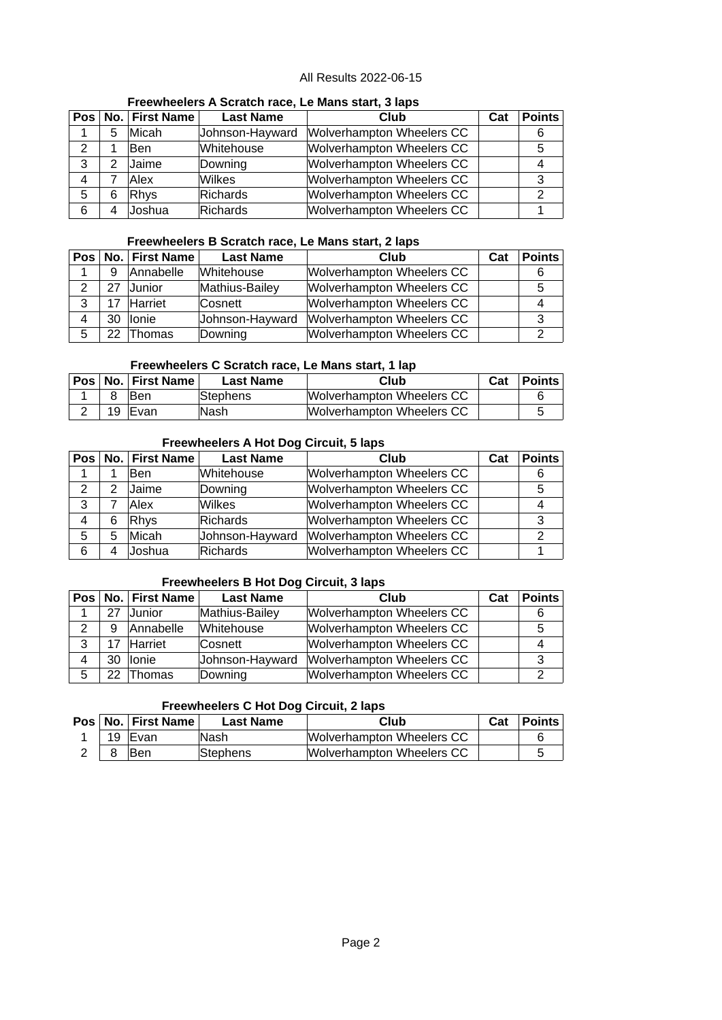#### **Freewheelers A Scratch race, Le Mans start, 3 laps**

|   |   | Pos   No.   First Name | <b>Last Name</b> | Club                             | Cat | <b>Points</b> |
|---|---|------------------------|------------------|----------------------------------|-----|---------------|
| 1 | 5 | Micah                  | Johnson-Hayward  | Wolverhampton Wheelers CC        |     |               |
| 2 |   | Ben                    | Whitehouse       | Wolverhampton Wheelers CC        |     |               |
| 3 | 2 | Jaime                  | Downing          | Wolverhampton Wheelers CC        |     |               |
| 4 |   | Alex                   | Wilkes           | Wolverhampton Wheelers CC        |     | 3             |
| 5 | 6 | Rhys                   | Richards         | <b>Wolverhampton Wheelers CC</b> |     |               |
| 6 | 4 | Joshua                 | Richards         | <b>Wolverhampton Wheelers CC</b> |     |               |

## **Freewheelers B Scratch race, Le Mans start, 2 laps**

|   |    | Pos   No.   First Name | <b>Last Name</b> | Club                             | Cat | <b>Points</b> |
|---|----|------------------------|------------------|----------------------------------|-----|---------------|
|   | 9  | Annabelle              | Whitehouse       | <b>Wolverhampton Wheelers CC</b> |     |               |
| ົ | 27 | Junior                 | Mathius-Bailey   | Wolverhampton Wheelers CC        |     |               |
| 3 |    | Harriet                | Cosnett          | Wolverhampton Wheelers CC        |     |               |
| 4 | 30 | llonie                 | Johnson-Hayward  | Wolverhampton Wheelers CC        |     |               |
| 5 | つつ | Thomas                 | Downing          | Wolverhampton Wheelers CC        |     |               |

# **Freewheelers C Scratch race, Le Mans start, 1 lap**

|          | <b>Pos No. First Name</b> | <b>Last Name</b> | Club                      | Cat | ∣Points I |
|----------|---------------------------|------------------|---------------------------|-----|-----------|
|          | ∣Ben                      | Stephens         | Wolverhampton Wheelers CC |     |           |
| <u>.</u> | 19 Evan                   | lNash            | Wolverhampton Wheelers CC |     |           |

#### **Freewheelers A Hot Dog Circuit, 5 laps**

|   |               | Pos   No.   First Name | <b>Last Name</b> | Club                             | Cat | <b>Points</b> |
|---|---------------|------------------------|------------------|----------------------------------|-----|---------------|
| 1 |               | Ben                    | Whitehouse       | <b>Wolverhampton Wheelers CC</b> |     |               |
| 2 | $\mathcal{P}$ | Jaime                  | Downing          | Wolverhampton Wheelers CC        |     | 5             |
| 3 |               | Alex                   | Wilkes           | <b>Wolverhampton Wheelers CC</b> |     |               |
| 4 | 6             | Rhys                   | Richards         | <b>Wolverhampton Wheelers CC</b> |     | 3             |
| 5 | 5             | Micah                  | Johnson-Hayward  | Wolverhampton Wheelers CC        |     |               |
| 6 | 4             | Joshua                 | Richards         | Wolverhampton Wheelers CC        |     |               |

#### **Freewheelers B Hot Dog Circuit, 3 laps**

|               |    | Pos   No.   First Name | <b>Last Name</b> | Club                      | Cat | <b>Points</b> |
|---------------|----|------------------------|------------------|---------------------------|-----|---------------|
|               | 27 | Junior                 | Mathius-Bailey   | Wolverhampton Wheelers CC |     |               |
| $\mathcal{P}$ | 9  | Annabelle              | Whitehouse       | Wolverhampton Wheelers CC |     |               |
| 3             |    | Harriet                | <b>Cosnett</b>   | Wolverhampton Wheelers CC |     |               |
| 4             | 30 | llonie                 | Johnson-Hayward  | Wolverhampton Wheelers CC |     |               |
| 5             | າາ | Thomas                 | Downing          | Wolverhampton Wheelers CC |     |               |

### **Freewheelers C Hot Dog Circuit, 2 laps**

|    | Pos   No.   First Name | <b>Last Name</b> | Club                      | Cat | Points |
|----|------------------------|------------------|---------------------------|-----|--------|
| 19 | <b>IEvan</b>           | lNash            | Wolverhampton Wheelers CC |     |        |
|    | Ben                    | <b>Stephens</b>  | Wolverhampton Wheelers CC |     |        |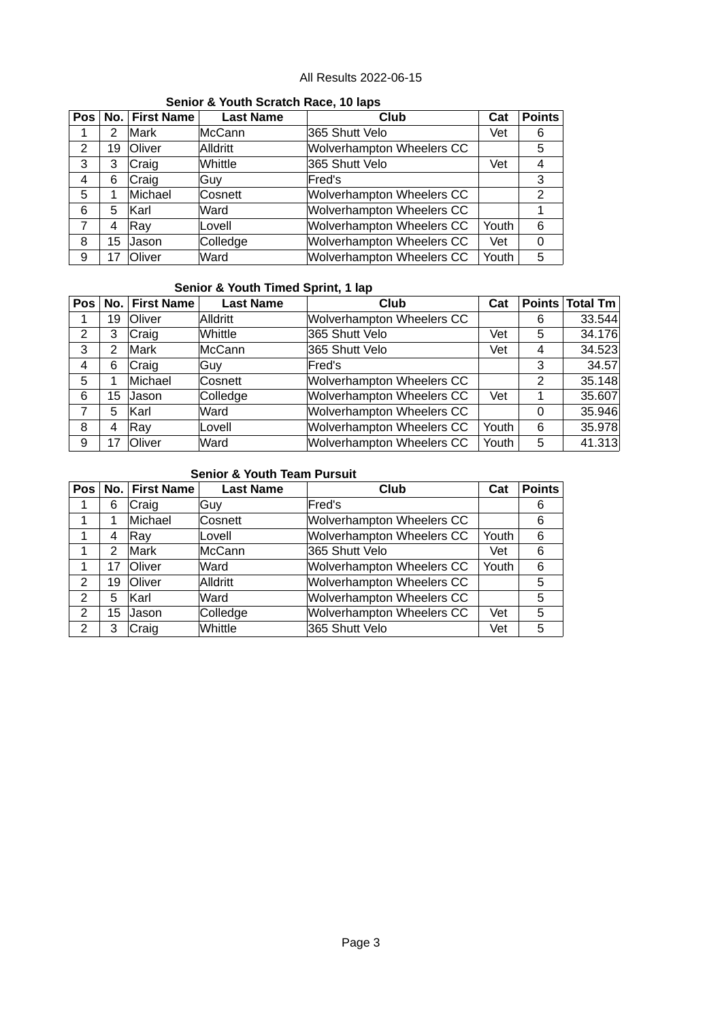| <b>OCHIOL &amp; TOUGH OCHUGH HUGGI 10 RDS</b> |    |                |                  |                                  |       |               |  |
|-----------------------------------------------|----|----------------|------------------|----------------------------------|-------|---------------|--|
| Pos                                           |    | No. First Name | <b>Last Name</b> | Club                             | Cat   | <b>Points</b> |  |
| 1                                             | 2  | Mark           | McCann           | 365 Shutt Velo                   | Vet   | 6             |  |
| 2                                             | 19 | Oliver         | Alldritt         | Wolverhampton Wheelers CC        |       | 5             |  |
| 3                                             | 3  | Craig          | Whittle          | 365 Shutt Velo                   | Vet   | 4             |  |
| 4                                             | 6  | Craig          | Guy              | Fred's                           |       | 3             |  |
| 5                                             | 1  | Michael        | Cosnett          | <b>Wolverhampton Wheelers CC</b> |       | $\mathcal{P}$ |  |
| 6                                             | 5  | lKarl          | Ward             | Wolverhampton Wheelers CC        |       |               |  |
|                                               | 4  | Rav            | Lovell           | Wolverhampton Wheelers CC        | Youth | 6             |  |
| 8                                             | 15 | Jason          | Colledge         | Wolverhampton Wheelers CC        | Vet   | 0             |  |
| 9                                             | 17 | Oliver         | Ward             | Wolverhampton Wheelers CC        | Youth | 5             |  |

# **Senior & Youth Scratch Race, 10 laps**

## **Senior & Youth Timed Sprint, 1 lap**

| <b>Pos</b> | No. l | <b>First Name</b> | <b>Last Name</b> | Club                      | Cat   |   | Points Total Tm |
|------------|-------|-------------------|------------------|---------------------------|-------|---|-----------------|
|            | 19    | Oliver            | Alldritt         | Wolverhampton Wheelers CC |       | 6 | 33.544          |
| 2          | 3     | C <sub>raig</sub> | Whittle          | 365 Shutt Velo            | Vet   | 5 | 34.176          |
| 3          | 2     | <b>Mark</b>       | McCann           | 365 Shutt Velo            | Vet   | 4 | 34.523          |
| 4          | 6     | C <sub>raig</sub> | ∣Guv             | Fred's                    |       | 3 | 34.57           |
| 5          | 1     | Michael           | <b>Cosnett</b>   | Wolverhampton Wheelers CC |       | 2 | 35.148          |
| 6          | 15    | Jason             | Colledge         | Wolverhampton Wheelers CC | Vet   | 1 | 35.607          |
| 7          | 5     | <b>Karl</b>       | Ward             | Wolverhampton Wheelers CC |       | 0 | 35.946          |
| 8          | 4     | $\mathsf{Ray}$    | Lovell           | Wolverhampton Wheelers CC | Youth | 6 | 35.978          |
| 9          | 17    | <b>Oliver</b>     | Ward             | Wolverhampton Wheelers CC | Youth | 5 | 41.313          |

## **Senior & Youth Team Pursuit**

| Pos | No.           | <b>First Name</b> | <b>Last Name</b> | Club                      | Cat   | <b>Points</b> |
|-----|---------------|-------------------|------------------|---------------------------|-------|---------------|
| 1   | 6             | Craig             | <b>Guy</b>       | Fred's                    |       | 6             |
| 1   | 1             | Michael           | <b>Cosnett</b>   | Wolverhampton Wheelers CC |       | 6             |
| 1   | 4             | Ray               | Lovell           | Wolverhampton Wheelers CC | Youth | 6             |
| 1   | $\mathcal{P}$ | Mark              | McCann           | 365 Shutt Velo            | Vet   | 6             |
| 1   | 17            | Oliver            | Ward             | Wolverhampton Wheelers CC | Youth | 6             |
| 2   | 19            | <b>Oliver</b>     | Alldritt         | Wolverhampton Wheelers CC |       | 5             |
| 2   | 5             | lKarl             | Ward             | Wolverhampton Wheelers CC |       | 5             |
| 2   | 15            | Jason             | Colledge         | Wolverhampton Wheelers CC | Vet   | 5             |
| 2   | 3             | Craig             | Whittle          | 365 Shutt Velo            | Vet   | 5             |